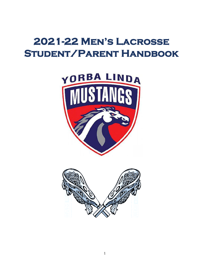# **2021-22 Men's Lacrosse Student/Parent Handbook**



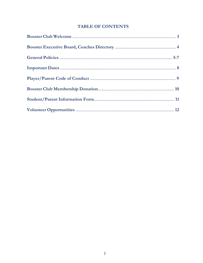# **TABLE OF CONTENTS**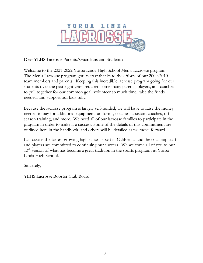

Dear YLHS Lacrosse Parents/Guardians and Students:

Welcome to the 2021-2022 Yorba Linda High School Men's Lacrosse program! The Men's Lacrosse program got its start thanks to the efforts of our 2009-2010 team members and parents. Keeping this incredible lacrosse program going for our students over the past eight years required some many parents, players, and coaches to pull together for our common goal, volunteer so much time, raise the funds needed, and support our kids fully.

Because the lacrosse program is largely self-funded, we will have to raise the money needed to pay for additional equipment, uniforms, coaches, assistant coaches, offseason training, and more. We need all of our lacrosse families to participate in the program in order to make it a success. Some of the details of this commitment are outlined here in the handbook, and others will be detailed as we move forward.

Lacrosse is the fastest growing high school sport in California, and the coaching staff and players are committed to continuing our success. We welcome all of you to our 13<sup>th</sup> season of what has become a great tradition in the sports programs at Yorba Linda High School.

Sincerely,

YLHS Lacrosse Booster Club Board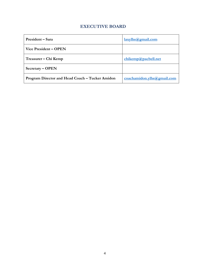# **EXECUTIVE BOARD**

| President – Sara                                | laxylhs@gmail.com           |
|-------------------------------------------------|-----------------------------|
| Vice President – OPEN                           |                             |
| Treasurer – Chi Kemp                            | chikemp@pacbell.net         |
| $S \nvert \text{C}$                             |                             |
| Program Director and Head Coach – Tucker Amidon | coachamidon. ylhs@gmail.com |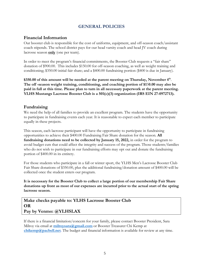# **GENERAL POLICIES**

## **Financial Information**

Our booster club is responsible for the cost of uniforms, equipment, and off-season coach/assistant coach stipends. The school district pays for our head varsity coach and head JV coach during lacrosse season **only** (one per team).

In order to meet the program's financial commitments, the Booster Club requests a "fair share" donation of \$900.00. This includes \$150.00 for off-season coaching, as well as weight training and conditioning; \$350.00 initial fair share; and a \$400.00 fundraising portion (\$400 is due in January).

**\$350.00 of this amount will be needed at the parent meeting on Thursday, November 4th** . **The off -season weight training, conditioning, and coaching portion of \$1**5**0.00 may also be paid in full at this time. Please plan to turn in all necessary paperwork at the parent meeting. YLHS Mustangs Lacrosse Booster Club is a 501(c)(3) organization (IRS EIN 27-0972713).** 

## **Fundraising**

We need the help of all families to provide an excellent program. The students have the opportunity to participate in fundraising events each year. It is reasonable to expect each member to participate equally in these projects.

This season, each lacrosse participant will have the opportunity to participate in fundraising opportunities to achieve their \$400.00 Fundraising Fair Share donation for the season. **All fundraising donations need to be collected by January 15, 2022,** in order for the program to avoid budget cuts that could affect the integrity and success of the program. Those students/families who do not wish to participate in our fundraising efforts may opt out and donate the fundraising portion of \$400.00 in its entirety.

For those students who participate in a fall or winter sport, the YLHS Men's Lacrosse Booster Club Fair Share donations of \$350.00, plus the additional fundraising/donation amount of \$400.00 will be collected once the student enters our program.

**It is necessary for the Booster Club to collect a large portion of our membership Fair Share donations up front as most of our expenses are incurred prior to the actual start of the spring lacrosse season.**

# **Make checks payable to: YLHS Lacrosse Booster Club OR Pay by Venmo: @YLHSLAX**

If there is a financial limitation/concern for your family, please contact Booster President, Sara Milroy via email at **[milroysara@gmail.com](mailto:milroysara@gmail.com)** or Booster Treasurer Chi Kemp at **[chikemp@pacbell.net](mailto:chikemp@pacbell.net)**. The budget and financial information is available for review at any time.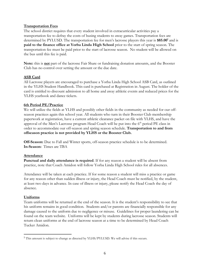## **Transportation Fees**

The school district requires that every student involved in extracurricular activities pay a transportation fee to defray the costs of busing students to away games. Transportation fees are determined by PYLUSD. The transportation fee for men's lacrosse players this year is **\$85.00<sup>1</sup>** and is **paid to the finance office at Yorba Linda High School** prior to the start of spring season. The transportation fee must be paid prior to the start of lacrosse season. No student will be allowed on the bus until this fee is paid.

**Note:** this is **not** part of the lacrosse Fair Share or fundraising donation amounts, and the Booster Club has no control over setting the amount or the due date.

## **ASB Card**

All Lacrosse players are encouraged to purchase a Yorba Linda High School ASB Card, as outlined in the YLHS Student Handbook. This card is purchased at Registration in August. The holder of the card is entitled to discount admission to all home and away athletic events and reduced prices for the YLHS yearbook and dance tickets.

## **6th Period PE/Practice**

We will utilize the fields at YLHS and possibly other fields in the community as needed for our offseason practices again this school year. All students who turn in their Booster Club membership paperwork at registration, have a current athletic clearance packet on file with YLHS, and have the approval of the Men's Lacrosse program Head Coach will be put into the 6<sup>th</sup> period PE class in order to accommodate our off-season and spring season schedule. **Transportation to and from offseason practice is not provided by YLHS or the Booster Club.** 

**Off-Season:** Due to Fall and Winter sports, off-season practice schedule is to be determined. **In-Season:** Times are TBA

#### **Attendance**

**Punctual and daily attendance is required**. If for any reason a student will be absent from practice, note that Coach Amidon will follow Yorba Linda High School rules for all absences.

Attendance will be taken at each practice. If for some reason a student will miss a practice or game for any reason other than sudden illness or injury, the Head Coach must be notified, by the student, at least two days in advance. In case of illness or injury, please notify the Head Coach the day of absence.

#### **Uniforms**

Team uniforms will be returned at the end of the season. It is the student's responsibility to see that his uniform remains in good condition. Students and/or parents are financially responsible for any damage caused to the uniform due to negligence or misuse. Guidelines for proper laundering can be found on the team website. Uniforms will be kept by students during lacrosse season. Students will return clean uniforms at the end of lacrosse season at a time to be determined by Head Coach Tucker Amidon.

<sup>1</sup> This amount is subject to change as directed by YLHS/PYLUSD. We will advise if this occurs.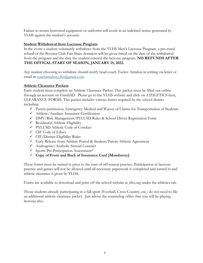Failure to return borrowed equipment or uniforms will result in an indebted notice generated by YLHS against the student's account.

## **Student Withdrawal from Lacrosse Program**

In the event a student voluntarily withdraws from the YLHS Men's Lacrosse Program, a pro-rated refund of the Booster Club Fair Share donation will be given based on the date of the withdrawal from the program and the date the student entered the lacrosse program. **NO REFUNDS AFTER THE OFFICAL START OF SEASON, JANUARY 15, 2022.**

Any student choosing to withdraw should notify head coach Tucker Amidon in writing via letter or email at [coachamidon.ylhs@gmail.com.](mailto:coachamidon.ylhs@gmail.com)

## **Athletic Clearance Packets**

Each student must complete an Athletic Clearance Packet. This packet must be filled out online through an account on FamilyID. Please go to the YLHS website and click on ATHLETICS then, CLEARANCE FORMS. This packet includes various forms required by the school district including:

- ✓ Parent permission, Emergency Medical and Waiver of Claims for Transportation of Students
- ✓ Athletic/Auxiliary Insurance Certification
- ✓ DMV/Risk Management/PYLUSD Rules & School Driver Registration Form
- ✓ Residential Athletic Eligibility
- ✓ PYLUSD Athletic Code of Conduct
- ✓ CIF Code of Ethics
- ✓ CIF/District Eligibility Rules
- ✓ Early Release from Athletic Period & Student/Parent Athletic Agreement
- ✓ Androgenic/Anabolic Steroid Contract
- ✓ Sports Pre-Participation Assessment\*
- ✓ **Copy of Front and Back of Insurance Card [Mandatory]**

These forms must be turned in prior to the start of off-season practice. Participation in lacrosse practice and games will not be allowed until all necessary paperwork is completed and turned in and athletic clearance is given by YLHS.

Forms are available to download and print off the school website at ylhs.org under the athletics tab.

Those students already participating in a fall sport (Football, Cross Country, etc.) do not need to file an additional athletic clearance packet. Just advise the counseling office that you will be playing lacrosse also.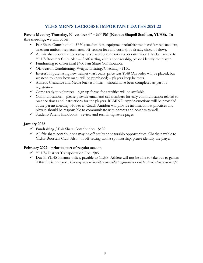# **YLHS MEN'S LACROSSE IMPORTANT DATES 2021-22**

## **Parent Meeting Thursday, November 4th – 6:00PM (Nathan Shapell Stadium, YLHS). In this meeting, we will cover:**

- $\checkmark$  Fair Share Contribution \$350 (coaches fees, equipment refurbishment and/or replacement, inseason uniform replacements, off-season fees and costs (not already shown below).
- $\checkmark$  All fair share contributions may be off-set by sponsorship opportunities. Checks payable to YLHS Boosters Club. Also – if off-setting with a sponsorship, please identify the player.
- ✓ Fundraising to offset final \$400 Fair Share Contribution.
- ✓ Off‐Season Conditioning/Weight Training/Coaching ‐ \$150.
- $\checkmark$  Interest in purchasing new helmet last years' price was \$148 (An order will be placed, but we need to know how many will be purchased) – players keep helmets.
- ✓ Athletic Clearance and Media Packet Forms should have been completed as part of registration
- $\checkmark$  Come ready to volunteer sign up forms for activities will be available.
- $\checkmark$  Communications please provide email and cell numbers for easy communication related to practice times and instructions for the players. REMIND App instructions will be provided at the parent meeting. However, Coach Amidon will provide information at practices and players should be responsible to communicate with parents and coaches as well.
- $\checkmark$  Student/Parent Handbook review and turn in signature pages.

## **January 2022**

- $\checkmark$  Fundraising / Fair Share Contribution \$400
- $\checkmark$  All fair share contributions may be off-set by sponsorship opportunities. Checks payable to YLHS Boosters Club. Also – if off-setting with a sponsorship, please identify the player.

#### **February 2022 – prior to start of regular season**

- ✓ YLHS/District Transportation Fee ‐ \$85
- $\checkmark$  Due in YLHS Finance office, payable to YLHS. Athlete will not be able to take bus to games if this fee is not paid. *You may have paid with your student registration - will be itemized on your receipt.*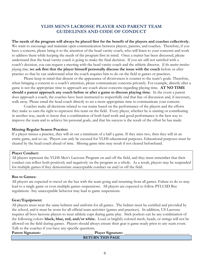# **YLHS MEN'S LACROSSE PLAYER AND PARENT TEAM GUIDELINES AND CODE OF CONDUCT**

**The needs of the program will always be placed first for the benefit of the players and coaches collectively.** We want to encourage and maintain open communication between players, parents, and coaches. Therefore, if you have a concern, please bring it to the attention of the head varsity coach, who will listen to your concerns and work to address them while keeping the needs of the program first in mind. Once a matter has been discussed, please understand that the head varsity coach is going to make the final decision. If you are still not satisfied with a coach's decision, you can request a meeting with the head varsity coach and the athletic director. *If the matter involves playing time,* **we ask first that the player himself personally discuss the issue with the coach** before or after practice so that he can understand what the coach requires him to do on the field at games or practices.

Please keep in mind that dissent or the appearance of divisiveness is counter to the team's goals. Therefore, when bringing a concern to a coach's attention, please communicate concerns privately. For example, directly after a game is not the appropriate time to approach any coach about concerns regarding playing time. **AT NO TIME should a parent approach any coach before or after a game to discuss playing time.** In the event a parent does approach a coach, the coaches have been instructed to respectfully end that line of discussion and, if necessary, walk away. Please email the head coach directly to set a more appropriate time to communicate your concern.

Coaches make all decisions related to our teams based on the performance of the players and the efforts they make to earn the right to represent this team on the field. Every player, whether he is starting or contributing in another way, needs to know that a combination of both hard work and good performance is the best way to improve the team and to achieve his personal goals, and that his success is the result of the effort he has made.

## **Missing Regular Season Practice:**

If a player misses a practice, they will sit out a minimum of a half a game. If they miss two, then they will sit an entire game, and so on. Players can only be excused for YLHS educational purposes. Educational purposes must be cleared by the head coach ahead of time. Missing game time may result if not cleared beforehand.

#### **Player Conduct:**

All players represent the YLHS Men's Lacrosse Program on and off the field, and they must remember that their conduct can reflect both positively and negatively on the program as a whole. As a result, players may be suspended for multiple games if they demonstrate unacceptable conduct on and/or off the field.

#### **Bus to Games:**

All players are expected to travel on the bus with the team going and returning from all games. Failure to do so may lead to a single game or even multiple games suspensions. All players are expected to follow PYLUSD Bus regulations. Any unacceptable behavior may lead to game suspensions.

#### **Gear/Equipment:**

All players must wear the same helmets and uniform for all games. The helmet must be certified and provided by the school, and it must be worn for all official team activities (games and practices). In addition, US Lacrosse requires all boys lacrosse players to wear athletic cups during game play. Stick pockets can be any combination of the following colors: **black, blue, red, and/or white.** Loud or brightly colored mesh, heads, or strings will not be allowed on the field during games. Players should always ensure their gear is game-ready prior to any team event. Talk to the coaches if you have any specific questions.

| <b>Parent Signature:</b> | <b>Player Signature:</b> |  |
|--------------------------|--------------------------|--|
|                          | <b>RETURN THIS PAGE</b>  |  |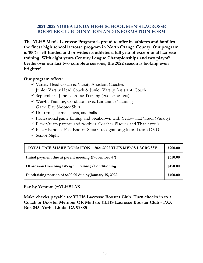# **2021-2022 YORBA LINDA HIGH SCHOOL MEN'S LACROSSE BOOSTER CLUB DONATION AND INFORMATION FORM**

**The YLHS Men's Lacrosse Program is proud to offer its athletes and families the finest high school lacrosse program in North Orange County. Our program is 100% self-funded and provides its athletes a full year of exceptional lacrosse training. With eight years Century League Championships and two playoff berths over our last two complete seasons, the 2022 season is looking even brighter!**

# **Our program offers:**

- ✓ Varsity Head Coach & Varsity Assistant Coaches
- ✓ Junior Varsity Head Coach & Junior Varsity Assistant Coach
- ✓ September June Lacrosse Training (two semesters)
- ✓ Weight Training, Conditioning & Endurance Training
- $\checkmark$  Game Day Shooter Shirt
- $\checkmark$  Uniforms, helmets, nets, and balls
- $\checkmark$  Professional game filming and breakdown with Yellow Hat/Hudl (Varsity)
- $\checkmark$  Player/team patches and trophies, Coaches Plaques and Thank you's
- $\checkmark$  Player Banquet Fee, End-of-Season recognition gifts and team DVD
- ✓ Senior Night

| <b>TOTAL FAIR SHARE DONATION - 2021-2022 YLHS MEN'S LACROSSE</b> | \$900.00 |
|------------------------------------------------------------------|----------|
| Initial payment due at parent meeting (November 4th)             | \$350.00 |
| Off-season Coaching/Weight Training/Conditioning                 | \$150.00 |
| Fundraising portion of \$400.00 due by January 15, 2022          | \$400.00 |

# **Pay by Venmo: @YLHSLAX**

**Make checks payable to: YLHS Lacrosse Booster Club. Turn checks in to a Coach or Booster Member OR Mail to: YLHS Lacrosse Booster Club - P.O. Box 845, Yorba Linda, CA 92885**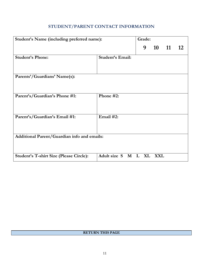# **STUDENT/PARENT CONTACT INFORMATION**

| Student's Name (including preferred name):     |                         | Grade: |     |    |    |
|------------------------------------------------|-------------------------|--------|-----|----|----|
|                                                |                         | 9      | 10  | 11 | 12 |
| <b>Student's Phone:</b>                        | <b>Student's Email:</b> |        |     |    |    |
| Parents'/Guardians' Name(s):                   |                         |        |     |    |    |
| Parent's/Guardian's Phone #1:                  | Phone #2:               |        |     |    |    |
| Parent's/Guardian's Email #1:                  | Email $#2$ :            |        |     |    |    |
| Additional Parent/Guardian info and emails:    |                         |        |     |    |    |
| <b>Student's T-shirt Size (Please Circle):</b> | Adult size S M L XL     |        | XXL |    |    |

## **RETURN THIS PAGE**